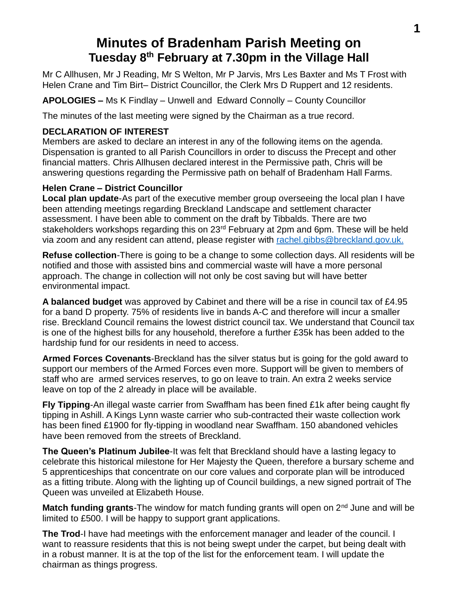# **Minutes of Bradenham Parish Meeting on Tuesday 8th February at 7.30pm in the Village Hall**

Mr C Allhusen, Mr J Reading, Mr S Welton, Mr P Jarvis, Mrs Les Baxter and Ms T Frost with Helen Crane and Tim Birt– District Councillor, the Clerk Mrs D Ruppert and 12 residents.

**APOLOGIES –** Ms K Findlay – Unwell and Edward Connolly – County Councillor

The minutes of the last meeting were signed by the Chairman as a true record.

# **DECLARATION OF INTEREST**

Members are asked to declare an interest in any of the following items on the agenda. Dispensation is granted to all Parish Councillors in order to discuss the Precept and other financial matters. Chris Allhusen declared interest in the Permissive path, Chris will be answering questions regarding the Permissive path on behalf of Bradenham Hall Farms.

# **Helen Crane – District Councillor**

**Local plan update**-As part of the executive member group overseeing the local plan I have been attending meetings regarding Breckland Landscape and settlement character assessment. I have been able to comment on the draft by Tibbalds. There are two stakeholders workshops regarding this on 23<sup>rd</sup> February at 2pm and 6pm. These will be held via zoom and any resident can attend, please register with [rachel.gibbs@breckland.gov.uk.](mailto:rachel.gibbs@breckland.gov.uk)

**Refuse collection**-There is going to be a change to some collection days. All residents will be notified and those with assisted bins and commercial waste will have a more personal approach. The change in collection will not only be cost saving but will have better environmental impact.

**A balanced budget** was approved by Cabinet and there will be a rise in council tax of £4.95 for a band D property. 75% of residents live in bands A-C and therefore will incur a smaller rise. Breckland Council remains the lowest district council tax. We understand that Council tax is one of the highest bills for any household, therefore a further £35k has been added to the hardship fund for our residents in need to access.

**Armed Forces Covenants**-Breckland has the silver status but is going for the gold award to support our members of the Armed Forces even more. Support will be given to members of staff who are armed services reserves, to go on leave to train. An extra 2 weeks service leave on top of the 2 already in place will be available.

**Fly Tipping**-An illegal waste carrier from Swaffham has been fined £1k after being caught fly tipping in Ashill. A Kings Lynn waste carrier who sub-contracted their waste collection work has been fined £1900 for fly-tipping in woodland near Swaffham. 150 abandoned vehicles have been removed from the streets of Breckland.

**The Queen's Platinum Jubilee**-It was felt that Breckland should have a lasting legacy to celebrate this historical milestone for Her Majesty the Queen, therefore a bursary scheme and 5 apprenticeships that concentrate on our core values and corporate plan will be introduced as a fitting tribute. Along with the lighting up of Council buildings, a new signed portrait of The Queen was unveiled at Elizabeth House.

**Match funding grants**-The window for match funding grants will open on 2<sup>nd</sup> June and will be limited to £500. I will be happy to support grant applications.

**The Trod**-I have had meetings with the enforcement manager and leader of the council. I want to reassure residents that this is not being swept under the carpet, but being dealt with in a robust manner. It is at the top of the list for the enforcement team. I will update the chairman as things progress.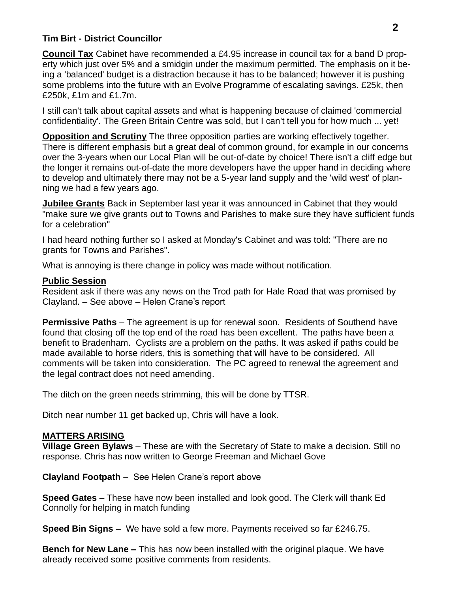### **Tim Birt - District Councillor**

**Council Tax** Cabinet have recommended a £4.95 increase in council tax for a band D property which just over 5% and a smidgin under the maximum permitted. The emphasis on it being a 'balanced' budget is a distraction because it has to be balanced; however it is pushing some problems into the future with an Evolve Programme of escalating savings. £25k, then £250k, £1m and £1.7m.

I still can't talk about capital assets and what is happening because of claimed 'commercial confidentiality'. The Green Britain Centre was sold, but I can't tell you for how much ... yet!

**Opposition and Scrutiny** The three opposition parties are working effectively together. There is different emphasis but a great deal of common ground, for example in our concerns over the 3-years when our Local Plan will be out-of-date by choice! There isn't a cliff edge but the longer it remains out-of-date the more developers have the upper hand in deciding where to develop and ultimately there may not be a 5-year land supply and the 'wild west' of planning we had a few years ago.

**Jubilee Grants** Back in September last year it was announced in Cabinet that they would "make sure we give grants out to Towns and Parishes to make sure they have sufficient funds for a celebration"

I had heard nothing further so I asked at Monday's Cabinet and was told: "There are no grants for Towns and Parishes".

What is annoying is there change in policy was made without notification.

### **Public Session**

Resident ask if there was any news on the Trod path for Hale Road that was promised by Clayland. – See above – Helen Crane's report

**Permissive Paths** – The agreement is up for renewal soon. Residents of Southend have found that closing off the top end of the road has been excellent. The paths have been a benefit to Bradenham. Cyclists are a problem on the paths. It was asked if paths could be made available to horse riders, this is something that will have to be considered. All comments will be taken into consideration. The PC agreed to renewal the agreement and the legal contract does not need amending.

The ditch on the green needs strimming, this will be done by TTSR.

Ditch near number 11 get backed up, Chris will have a look.

## **MATTERS ARISING**

**Village Green Bylaws** – These are with the Secretary of State to make a decision. Still no response. Chris has now written to George Freeman and Michael Gove

**Clayland Footpath** – See Helen Crane's report above

**Speed Gates** – These have now been installed and look good. The Clerk will thank Ed Connolly for helping in match funding

**Speed Bin Signs –** We have sold a few more. Payments received so far £246.75.

**Bench for New Lane –** This has now been installed with the original plaque. We have already received some positive comments from residents.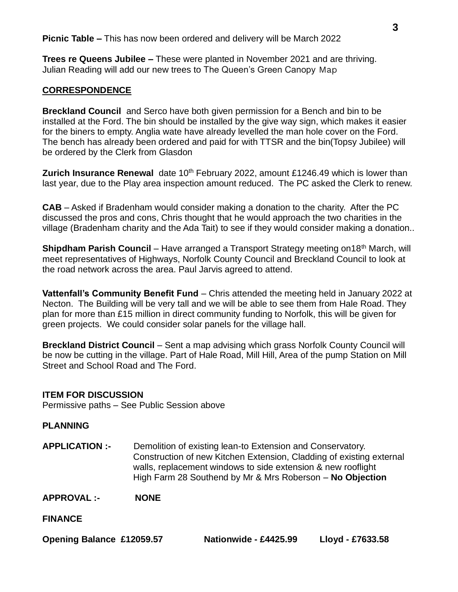**Trees re Queens Jubilee –** These were planted in November 2021 and are thriving. Julian Reading will add our new trees to The Queen's Green Canopy Map

#### **CORRESPONDENCE**

**Breckland Council** and Serco have both given permission for a Bench and bin to be installed at the Ford. The bin should be installed by the give way sign, which makes it easier for the biners to empty. Anglia wate have already levelled the man hole cover on the Ford. The bench has already been ordered and paid for with TTSR and the bin(Topsy Jubilee) will be ordered by the Clerk from Glasdon

**Zurich Insurance Renewal** date 10<sup>th</sup> February 2022, amount £1246.49 which is lower than last year, due to the Play area inspection amount reduced. The PC asked the Clerk to renew.

**CAB** – Asked if Bradenham would consider making a donation to the charity. After the PC discussed the pros and cons, Chris thought that he would approach the two charities in the village (Bradenham charity and the Ada Tait) to see if they would consider making a donation..

**Shipdham Parish Council** – Have arranged a Transport Strategy meeting on 18<sup>th</sup> March, will meet representatives of Highways, Norfolk County Council and Breckland Council to look at the road network across the area. Paul Jarvis agreed to attend.

**Vattenfall's Community Benefit Fund** – Chris attended the meeting held in January 2022 at Necton. The Building will be very tall and we will be able to see them from Hale Road. They plan for more than £15 million in direct community funding to Norfolk, this will be given for green projects. We could consider solar panels for the village hall.

**Breckland District Council** – Sent a map advising which grass Norfolk County Council will be now be cutting in the village. Part of Hale Road, Mill Hill, Area of the pump Station on Mill Street and School Road and The Ford.

#### **ITEM FOR DISCUSSION**

Permissive paths – See Public Session above

#### **PLANNING**

**APPLICATION :-** Demolition of existing lean-to Extension and Conservatory. Construction of new Kitchen Extension, Cladding of existing external walls, replacement windows to side extension & new rooflight High Farm 28 Southend by Mr & Mrs Roberson – **No Objection**

**APPROVAL :- NONE**

**FINANCE**

| <b>Opening Balance £12059.57</b> | Nationwide - £4425.99 | Lloyd - £7633.58 |
|----------------------------------|-----------------------|------------------|
|----------------------------------|-----------------------|------------------|